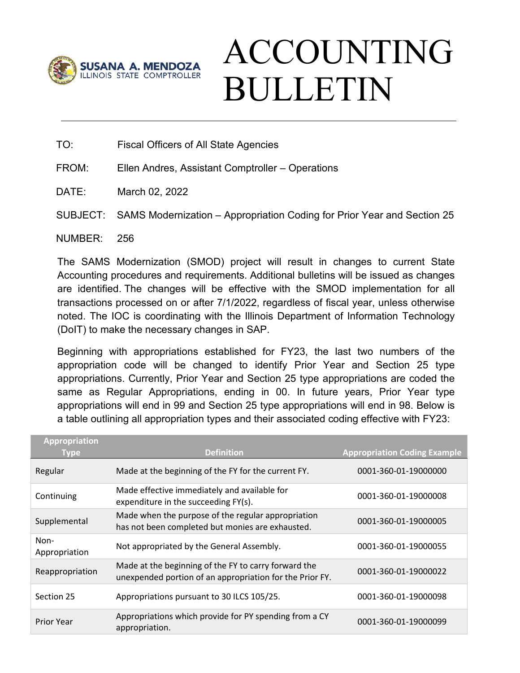

## ACCOUNTING BULLETIN

TO: Fiscal Officers of All State Agencies

FROM: Ellen Andres, Assistant Comptroller – Operations

DATE: March 02, 2022

SUBJECT: SAMS Modernization – Appropriation Coding for Prior Year and Section 25

NUMBER: 256

The SAMS Modernization (SMOD) project will result in changes to current State Accounting procedures and requirements. Additional bulletins will be issued as changes are identified. The changes will be effective with the SMOD implementation for all transactions processed on or after 7/1/2022, regardless of fiscal year, unless otherwise noted. The IOC is coordinating with the Illinois Department of Information Technology (DoIT) to make the necessary changes in SAP.

Beginning with appropriations established for FY23, the last two numbers of the appropriation code will be changed to identify Prior Year and Section 25 type appropriations. Currently, Prior Year and Section 25 type appropriations are coded the same as Regular Appropriations, ending in 00. In future years, Prior Year type appropriations will end in 99 and Section 25 type appropriations will end in 98. Below is a table outlining all appropriation types and their associated coding effective with FY23:

| <b>Appropriation</b><br>Type | <b>Definition</b>                                                                                                | <b>Appropriation Coding Example</b> |
|------------------------------|------------------------------------------------------------------------------------------------------------------|-------------------------------------|
| Regular                      | Made at the beginning of the FY for the current FY.                                                              | 0001-360-01-19000000                |
| Continuing                   | Made effective immediately and available for<br>expenditure in the succeeding FY(s).                             | 0001-360-01-19000008                |
| Supplemental                 | Made when the purpose of the regular appropriation<br>has not been completed but monies are exhausted.           | 0001-360-01-19000005                |
| Non-<br>Appropriation        | Not appropriated by the General Assembly.                                                                        | 0001-360-01-19000055                |
| Reappropriation              | Made at the beginning of the FY to carry forward the<br>unexpended portion of an appropriation for the Prior FY. | 0001-360-01-19000022                |
| Section 25                   | Appropriations pursuant to 30 ILCS 105/25.                                                                       | 0001-360-01-19000098                |
| <b>Prior Year</b>            | Appropriations which provide for PY spending from a CY<br>appropriation.                                         | 0001-360-01-19000099                |